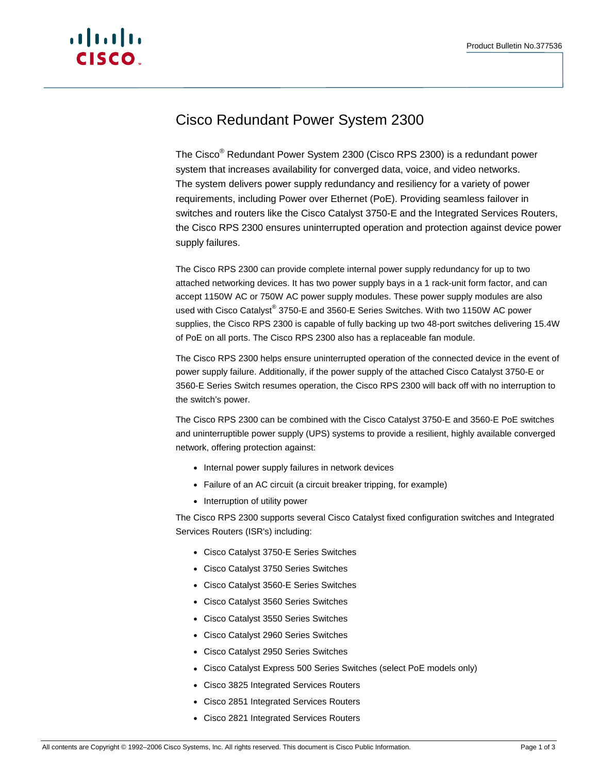

# Cisco Redundant Power System 2300

The Cisco® Redundant Power System 2300 (Cisco RPS 2300) is a redundant power system that increases availability for converged data, voice, and video networks. The system delivers power supply redundancy and resiliency for a variety of power requirements, including Power over Ethernet (PoE). Providing seamless failover in switches and routers like the Cisco Catalyst 3750-E and the Integrated Services Routers, the Cisco RPS 2300 ensures uninterrupted operation and protection against device power supply failures.

The Cisco RPS 2300 can provide complete internal power supply redundancy for up to two attached networking devices. It has two power supply bays in a 1 rack-unit form factor, and can accept 1150W AC or 750W AC power supply modules. These power supply modules are also used with Cisco Catalyst® 3750-E and 3560-E Series Switches. With two 1150W AC power supplies, the Cisco RPS 2300 is capable of fully backing up two 48-port switches delivering 15.4W of PoE on all ports. The Cisco RPS 2300 also has a replaceable fan module.

The Cisco RPS 2300 helps ensure uninterrupted operation of the connected device in the event of power supply failure. Additionally, if the power supply of the attached Cisco Catalyst 3750-E or 3560-E Series Switch resumes operation, the Cisco RPS 2300 will back off with no interruption to the switch's power.

The Cisco RPS 2300 can be combined with the Cisco Catalyst 3750-E and 3560-E PoE switches and uninterruptible power supply (UPS) systems to provide a resilient, highly available converged network, offering protection against:

- Internal power supply failures in network devices
- Failure of an AC circuit (a circuit breaker tripping, for example)
- Interruption of utility power

The Cisco RPS 2300 supports several Cisco Catalyst fixed configuration switches and Integrated Services Routers (ISR's) including:

- Cisco Catalyst 3750-E Series Switches
- Cisco Catalyst 3750 Series Switches
- Cisco Catalyst 3560-E Series Switches
- Cisco Catalyst 3560 Series Switches
- Cisco Catalyst 3550 Series Switches
- Cisco Catalyst 2960 Series Switches
- Cisco Catalyst 2950 Series Switches
- Cisco Catalyst Express 500 Series Switches (select PoE models only)
- Cisco 3825 Integrated Services Routers
- Cisco 2851 Integrated Services Routers
- Cisco 2821 Integrated Services Routers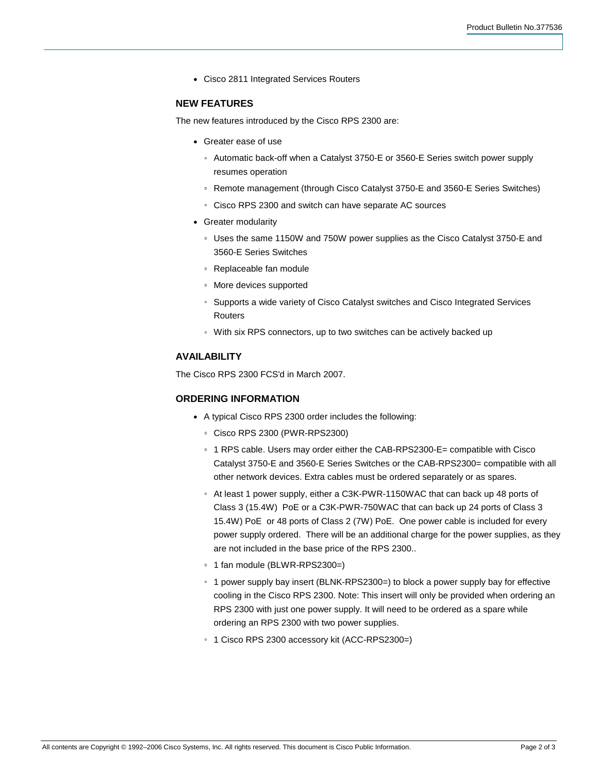• Cisco 2811 Integrated Services Routers

#### **NEW FEATURES**

The new features introduced by the Cisco RPS 2300 are:

- Greater ease of use
	- Automatic back-off when a Catalyst 3750-E or 3560-E Series switch power supply resumes operation
	- Remote management (through Cisco Catalyst 3750-E and 3560-E Series Switches)
	- Cisco RPS 2300 and switch can have separate AC sources
- Greater modularity
	- Uses the same 1150W and 750W power supplies as the Cisco Catalyst 3750-E and 3560-E Series Switches
	- Replaceable fan module
	- More devices supported
	- Supports a wide variety of Cisco Catalyst switches and Cisco Integrated Services Routers
	- With six RPS connectors, up to two switches can be actively backed up

## **AVAILABILITY**

The Cisco RPS 2300 FCS'd in March 2007.

## **ORDERING INFORMATION**

- A typical Cisco RPS 2300 order includes the following:
	- Cisco RPS 2300 (PWR-RPS2300)
	- 1 RPS cable. Users may order either the CAB-RPS2300-E= compatible with Cisco Catalyst 3750-E and 3560-E Series Switches or the CAB-RPS2300= compatible with all other network devices. Extra cables must be ordered separately or as spares.
	- At least 1 power supply, either a C3K-PWR-1150WAC that can back up 48 ports of Class 3 (15.4W) PoE or a C3K-PWR-750WAC that can back up 24 ports of Class 3 15.4W) PoE or 48 ports of Class 2 (7W) PoE. One power cable is included for every power supply ordered. There will be an additional charge for the power supplies, as they are not included in the base price of the RPS 2300..
	- 1 fan module (BLWR-RPS2300=)
	- 1 power supply bay insert (BLNK-RPS2300=) to block a power supply bay for effective cooling in the Cisco RPS 2300. Note: This insert will only be provided when ordering an RPS 2300 with just one power supply. It will need to be ordered as a spare while ordering an RPS 2300 with two power supplies.
	- 1 Cisco RPS 2300 accessory kit (ACC-RPS2300=)